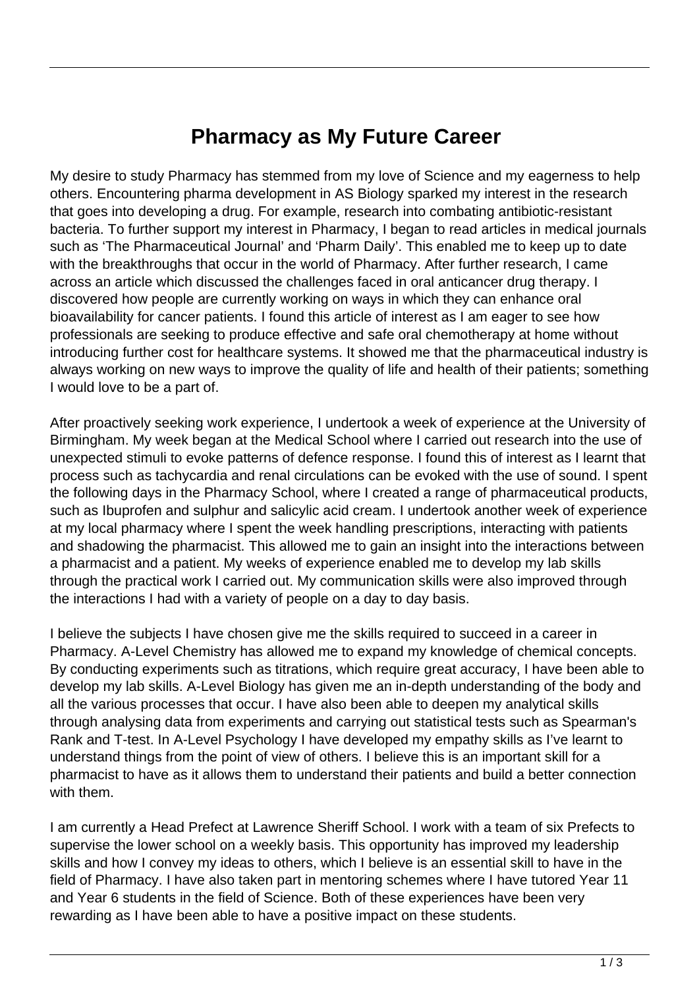## **Pharmacy as My Future Career**

My desire to study Pharmacy has stemmed from my love of Science and my eagerness to help others. Encountering pharma development in AS Biology sparked my interest in the research that goes into developing a drug. For example, research into combating antibiotic-resistant bacteria. To further support my interest in Pharmacy, I began to read articles in medical journals such as 'The Pharmaceutical Journal' and 'Pharm Daily'. This enabled me to keep up to date with the breakthroughs that occur in the world of Pharmacy. After further research, I came across an article which discussed the challenges faced in oral anticancer drug therapy. I discovered how people are currently working on ways in which they can enhance oral bioavailability for cancer patients. I found this article of interest as I am eager to see how professionals are seeking to produce effective and safe oral chemotherapy at home without introducing further cost for healthcare systems. It showed me that the pharmaceutical industry is always working on new ways to improve the quality of life and health of their patients; something I would love to be a part of.

After proactively seeking work experience, I undertook a week of experience at the University of Birmingham. My week began at the Medical School where I carried out research into the use of unexpected stimuli to evoke patterns of defence response. I found this of interest as I learnt that process such as tachycardia and renal circulations can be evoked with the use of sound. I spent the following days in the Pharmacy School, where I created a range of pharmaceutical products, such as Ibuprofen and sulphur and salicylic acid cream. I undertook another week of experience at my local pharmacy where I spent the week handling prescriptions, interacting with patients and shadowing the pharmacist. This allowed me to gain an insight into the interactions between a pharmacist and a patient. My weeks of experience enabled me to develop my lab skills through the practical work I carried out. My communication skills were also improved through the interactions I had with a variety of people on a day to day basis.

I believe the subjects I have chosen give me the skills required to succeed in a career in Pharmacy. A-Level Chemistry has allowed me to expand my knowledge of chemical concepts. By conducting experiments such as titrations, which require great accuracy, I have been able to develop my lab skills. A-Level Biology has given me an in-depth understanding of the body and all the various processes that occur. I have also been able to deepen my analytical skills through analysing data from experiments and carrying out statistical tests such as Spearman's Rank and T-test. In A-Level Psychology I have developed my empathy skills as I've learnt to understand things from the point of view of others. I believe this is an important skill for a pharmacist to have as it allows them to understand their patients and build a better connection with them.

I am currently a Head Prefect at Lawrence Sheriff School. I work with a team of six Prefects to supervise the lower school on a weekly basis. This opportunity has improved my leadership skills and how I convey my ideas to others, which I believe is an essential skill to have in the field of Pharmacy. I have also taken part in mentoring schemes where I have tutored Year 11 and Year 6 students in the field of Science. Both of these experiences have been very rewarding as I have been able to have a positive impact on these students.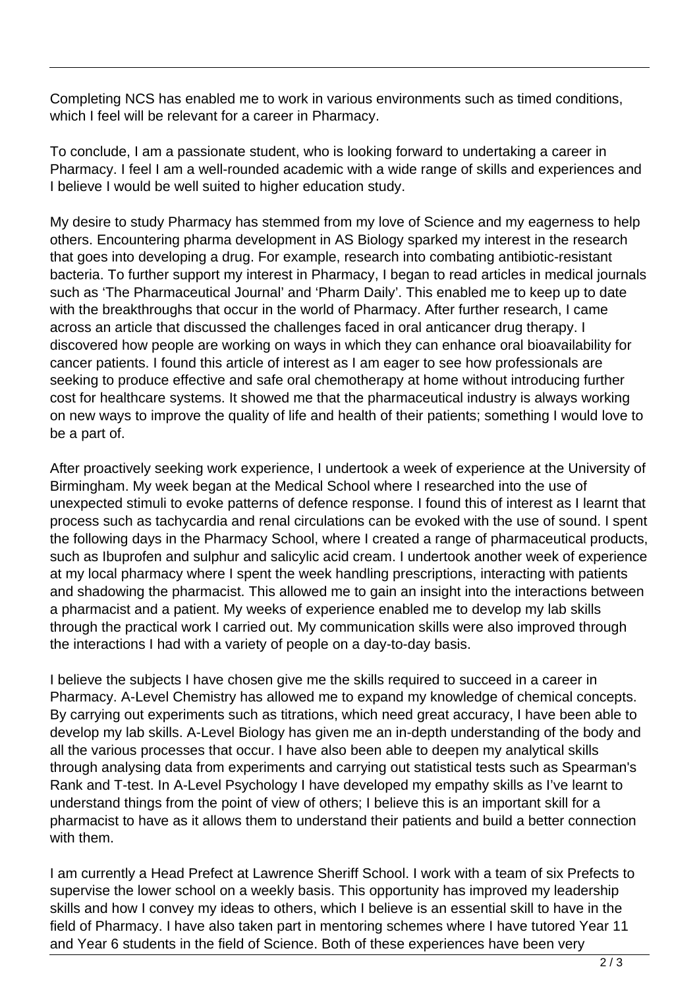Completing NCS has enabled me to work in various environments such as timed conditions, which I feel will be relevant for a career in Pharmacy.

To conclude, I am a passionate student, who is looking forward to undertaking a career in Pharmacy. I feel I am a well-rounded academic with a wide range of skills and experiences and I believe I would be well suited to higher education study.

My desire to study Pharmacy has stemmed from my love of Science and my eagerness to help others. Encountering pharma development in AS Biology sparked my interest in the research that goes into developing a drug. For example, research into combating antibiotic-resistant bacteria. To further support my interest in Pharmacy, I began to read articles in medical journals such as 'The Pharmaceutical Journal' and 'Pharm Daily'. This enabled me to keep up to date with the breakthroughs that occur in the world of Pharmacy. After further research, I came across an article that discussed the challenges faced in oral anticancer drug therapy. I discovered how people are working on ways in which they can enhance oral bioavailability for cancer patients. I found this article of interest as I am eager to see how professionals are seeking to produce effective and safe oral chemotherapy at home without introducing further cost for healthcare systems. It showed me that the pharmaceutical industry is always working on new ways to improve the quality of life and health of their patients; something I would love to be a part of.

After proactively seeking work experience, I undertook a week of experience at the University of Birmingham. My week began at the Medical School where I researched into the use of unexpected stimuli to evoke patterns of defence response. I found this of interest as I learnt that process such as tachycardia and renal circulations can be evoked with the use of sound. I spent the following days in the Pharmacy School, where I created a range of pharmaceutical products, such as Ibuprofen and sulphur and salicylic acid cream. I undertook another week of experience at my local pharmacy where I spent the week handling prescriptions, interacting with patients and shadowing the pharmacist. This allowed me to gain an insight into the interactions between a pharmacist and a patient. My weeks of experience enabled me to develop my lab skills through the practical work I carried out. My communication skills were also improved through the interactions I had with a variety of people on a day-to-day basis.

I believe the subjects I have chosen give me the skills required to succeed in a career in Pharmacy. A-Level Chemistry has allowed me to expand my knowledge of chemical concepts. By carrying out experiments such as titrations, which need great accuracy, I have been able to develop my lab skills. A-Level Biology has given me an in-depth understanding of the body and all the various processes that occur. I have also been able to deepen my analytical skills through analysing data from experiments and carrying out statistical tests such as Spearman's Rank and T-test. In A-Level Psychology I have developed my empathy skills as I've learnt to understand things from the point of view of others; I believe this is an important skill for a pharmacist to have as it allows them to understand their patients and build a better connection with them.

I am currently a Head Prefect at Lawrence Sheriff School. I work with a team of six Prefects to supervise the lower school on a weekly basis. This opportunity has improved my leadership skills and how I convey my ideas to others, which I believe is an essential skill to have in the field of Pharmacy. I have also taken part in mentoring schemes where I have tutored Year 11 and Year 6 students in the field of Science. Both of these experiences have been very